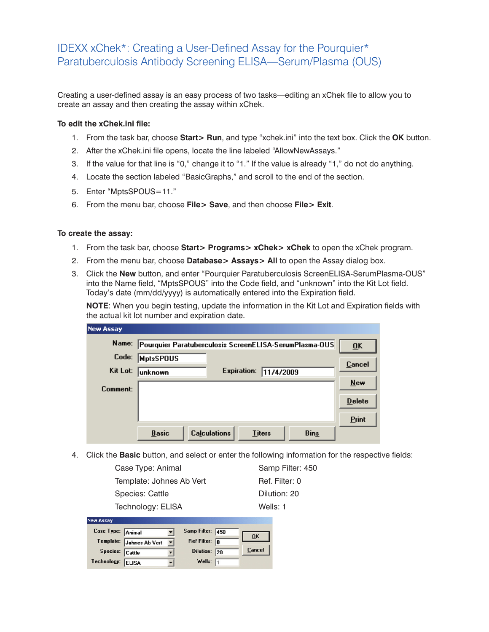# IDEXX xChek\*: Creating a User-Defined Assay for the Pourquier\* Paratuberculosis Antibody Screening ELISA—Serum/Plasma (OUS)

Creating a user-defined assay is an easy process of two tasks—editing an xChek file to allow you to create an assay and then creating the assay within xChek.

## **To edit the xChek.ini file:**

- 1. From the task bar, choose **Start> Run**, and type "xchek.ini" into the text box. Click the **OK** button.
- 2. After the xChek.ini file opens, locate the line labeled "AllowNewAssays."
- 3. If the value for that line is "0," change it to "1." If the value is already "1," do not do anything.
- 4. Locate the section labeled "BasicGraphs," and scroll to the end of the section.
- 5. Enter "MptsSPOUS=11."
- 6. From the menu bar, choose **File> Save**, and then choose **File> Exit**.

#### **To create the assay:**

- 1. From the task bar, choose **Start> Programs> xChek> xChek** to open the xChek program.
- 2. From the menu bar, choose **Database> Assays> All** to open the Assay dialog box.
- 3. Click the **New** button, and enter "Pourquier Paratuberculosis ScreenELISA-SerumPlasma-OUS" into the Name field, "MptsSPOUS" into the Code field, and "unknown" into the Kit Lot field. Today's date (mm/dd/yyyy) is automatically entered into the Expiration field.

**NOTE**: When you begin testing, update the information in the Kit Lot and Expiration fields with the actual kit lot number and expiration date.

| <b>New Assay</b> |                                                                     |                           |
|------------------|---------------------------------------------------------------------|---------------------------|
| Name:            | Pourquier Paratuberculosis ScreenELISA-SerumPlasma-OUS              | $\overline{\mathbf{0}}$ K |
| Code:            | <b>MptsSPOUS</b>                                                    | Cancel                    |
| Kit Lot:         | Expiration:<br>11/4/2009<br>lunknown                                | $New$                     |
| Comment:         |                                                                     | <b>Delete</b>             |
|                  |                                                                     |                           |
|                  |                                                                     | <b>Print</b>              |
|                  | <b>Calculations</b><br><b>Bins</b><br><b>Basic</b><br><b>Titers</b> |                           |

4. Click the **Basic** button, and select or enter the following information for the respective fields:

Samp Filter: 450 Ref. Filter: 0 Dilution: 20 Wells: 1

| Case Type: Animal        |  |
|--------------------------|--|
| Template: Johnes Ab Vert |  |
| <b>Species: Cattle</b>   |  |
| Technology: ELISA        |  |

| new Assay         |                          |                         |                |
|-------------------|--------------------------|-------------------------|----------------|
| Case Type: Animal |                          | Samp Filter: 450        | 0 <sup>K</sup> |
|                   | Template: Johnes Ab Vert | Ref Filter: $\boxed{0}$ |                |
| Species: Cattle   |                          | Dilution: 20            | Cancel         |
| Technology: ELISA |                          | Wells: $\sqrt{1}$       |                |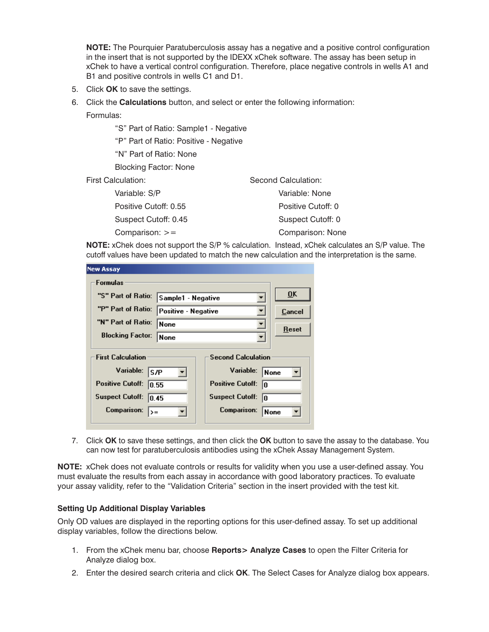**NOTE:** The Pourquier Paratuberculosis assay has a negative and a positive control configuration in the insert that is not supported by the IDEXX xChek software. The assay has been setup in xChek to have a vertical control configuration. Therefore, place negative controls in wells A1 and B1 and positive controls in wells C1 and D1.

- 5. Click **OK** to save the settings.
- 6. Click the **Calculations** button, and select or enter the following information:
	- Formulas:

"S" Part of Ratio: Sample1 - Negative

"P" Part of Ratio: Positive - Negative

"N" Part of Ratio: None

Blocking Factor: None

First Calculation:

| Variable: S/P         | Variable: None     |
|-----------------------|--------------------|
| Positive Cutoff: 0.55 | Positive Cutoff: 0 |
| Suspect Cutoff: 0.45  | Suspect Cutoff: 0  |
| Comparison: $>=$      | Comparison: None   |

**NOTE:** xChek does not support the S/P % calculation. Instead, xChek calculates an S/P value. The cutoff values have been updated to match the new calculation and the interpretation is the same.

Second Calculation:

| <b>New Assay</b>                                      |                                  |                               |                           |  |
|-------------------------------------------------------|----------------------------------|-------------------------------|---------------------------|--|
| <b>Formulas</b>                                       |                                  |                               |                           |  |
| "S" Part of Ratio:                                    | Sample1 - Negative               |                               | $\overline{\mathbf{0}}$ K |  |
| "P" Part of Ratio:                                    | Positive - Negative<br>None<br>▼ |                               | Cancel                    |  |
| "N" Part of Ratio:                                    |                                  |                               | Reset                     |  |
| <b>Blocking Factor:</b>                               | None                             |                               |                           |  |
| <b>First Calculation</b><br><b>Second Calculation</b> |                                  |                               |                           |  |
| Variable:<br><b>S/P</b>                               |                                  | Variable:<br>None             |                           |  |
| <b>Positive Cutoff:</b><br>10.55                      |                                  | <b>Positive Cutoff:</b><br>lo |                           |  |
| <b>Suspect Cutoff:</b><br>10.45                       |                                  | <b>Suspect Cutoff:</b><br>lo  |                           |  |
| <b>Comparison:</b><br>>=                              |                                  | Comparison:<br>None           |                           |  |

7. Click **OK** to save these settings, and then click the **OK** button to save the assay to the database. You can now test for paratuberculosis antibodies using the xChek Assay Management System.

**NOTE:** xChek does not evaluate controls or results for validity when you use a user-defined assay. You must evaluate the results from each assay in accordance with good laboratory practices. To evaluate your assay validity, refer to the "Validation Criteria" section in the insert provided with the test kit.

#### **Setting Up Additional Display Variables**

Only OD values are displayed in the reporting options for this user-defined assay. To set up additional display variables, follow the directions below.

- 1. From the xChek menu bar, choose **Reports> Analyze Cases** to open the Filter Criteria for Analyze dialog box.
- 2. Enter the desired search criteria and click **OK**. The Select Cases for Analyze dialog box appears.